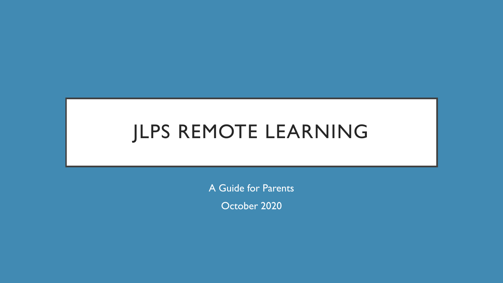# JLPS REMOTE LEARNING

A Guide for Parents

October 2020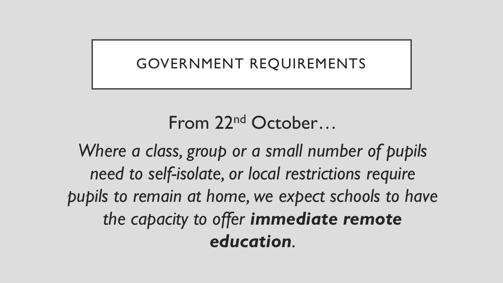### GOVERNMENT REQUIREMENTS

# From 22nd October…

*Where a class, group or a small number of pupils need to self-isolate, or local restrictions require pupils to remain at home, we expect schools to have the capacity to offer immediate remote education.*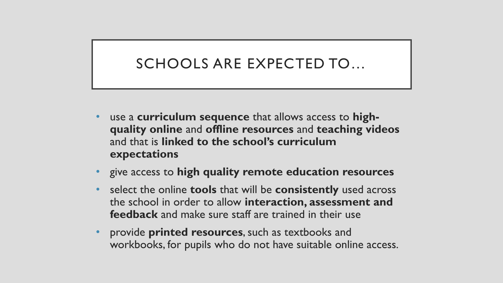### SCHOOLS ARE EXPECTED TO…

- use a **curriculum sequence** that allows access to **highquality online** and **offline resources** and **teaching videos**  and that is **linked to the school's curriculum expectations**
- give access to **high quality remote education resources**
- select the online **tools** that will be **consistently** used across the school in order to allow **interaction, assessment and feedback** and make sure staff are trained in their use
- provide **printed resources**, such as textbooks and workbooks, for pupils who do not have suitable online access.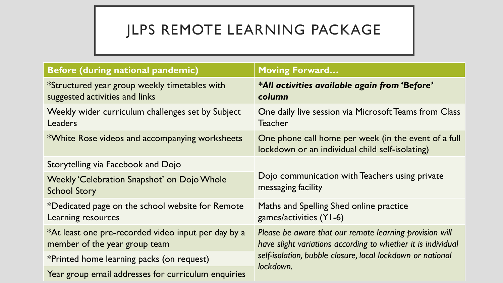## JLPS REMOTE LEARNING PACKAGE

| <b>Before (during national pandemic)</b>                                             | <b>Moving Forward</b>                                                                                                                                                                 |  |  |  |
|--------------------------------------------------------------------------------------|---------------------------------------------------------------------------------------------------------------------------------------------------------------------------------------|--|--|--|
| *Structured year group weekly timetables with<br>suggested activities and links      | *All activities available again from 'Before'<br>column                                                                                                                               |  |  |  |
| Weekly wider curriculum challenges set by Subject<br>Leaders                         | One daily live session via Microsoft Teams from Class<br><b>Teacher</b>                                                                                                               |  |  |  |
| *White Rose videos and accompanying worksheets                                       | One phone call home per week (in the event of a full<br>lockdown or an individual child self-isolating)                                                                               |  |  |  |
| Storytelling via Facebook and Dojo                                                   |                                                                                                                                                                                       |  |  |  |
| <b>Weekly 'Celebration Snapshot' on Dojo Whole</b><br><b>School Story</b>            | Dojo communication with Teachers using private<br>messaging facility                                                                                                                  |  |  |  |
| *Dedicated page on the school website for Remote<br>Learning resources               | Maths and Spelling Shed online practice<br>games/activities (Y1-6)                                                                                                                    |  |  |  |
| *At least one pre-recorded video input per day by a<br>member of the year group team | Please be aware that our remote learning provision will<br>have slight variations according to whether it is individual<br>self-isolation, bubble closure, local lockdown or national |  |  |  |
| *Printed home learning packs (on request)                                            |                                                                                                                                                                                       |  |  |  |
| Year group email addresses for curriculum enquiries                                  | lockdown.                                                                                                                                                                             |  |  |  |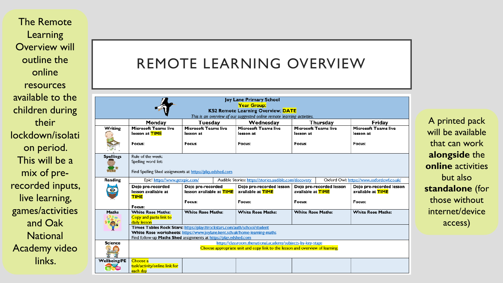The Remote Learning Overview will outline the online resources available to the children during their lockdown/isolati on period. This will be a mix of pre recorded inputs, live learning, games/activities and Oak **National** Academy video links.

#### REMOTE LEARNING OVERVIEW

|                     |                                                                                                                                                                                                                             |                                                           | Joy Lane Primary School<br><b>Year Group:</b><br><b>KS2 Remote Learning Overview: DATE</b> |                                                      |  |                                               |
|---------------------|-----------------------------------------------------------------------------------------------------------------------------------------------------------------------------------------------------------------------------|-----------------------------------------------------------|--------------------------------------------------------------------------------------------|------------------------------------------------------|--|-----------------------------------------------|
|                     |                                                                                                                                                                                                                             |                                                           | This is an overview of our suggested online remote learning activities.                    |                                                      |  |                                               |
|                     | Monday                                                                                                                                                                                                                      | Tuesday                                                   | Wednesday                                                                                  | Thursday                                             |  | Friday                                        |
| Writing             | <b>Microsoft Teams live</b><br>lesson at TIME                                                                                                                                                                               | <b>Microsoft Teams live</b><br>lesson at                  | Microsoft Teams live<br>lesson at                                                          | Microsoft Teams live<br>lesson at                    |  | <b>Microsoft Teams live</b><br>lesson at      |
|                     | Focus:                                                                                                                                                                                                                      | Focus:                                                    | Focus:                                                                                     | Focus:                                               |  | Focus:                                        |
| <b>Spellings</b>    | Rule of the week:<br>Spelling word list:                                                                                                                                                                                    |                                                           |                                                                                            |                                                      |  |                                               |
|                     |                                                                                                                                                                                                                             | Find Spelling Shed assignments at https://play.edshed.com |                                                                                            |                                                      |  |                                               |
| Reading             | Audible Stories: https://stories.audible.com/discovery<br>Oxford Owl: https://www.oxfordowl.co.uk/<br>Epic! https://www.getepic.com/                                                                                        |                                                           |                                                                                            |                                                      |  |                                               |
|                     | Dojo pre-recorded<br>lesson available at<br><b>TIME</b>                                                                                                                                                                     | Dojo pre-recorded<br>lesson available at <b>TIME</b>      | Dojo pre-recorded lesson<br>available at <b>TIME</b>                                       | Dojo pre-recorded lesson<br>available at <b>TIME</b> |  | Dojo pre-recorded lesson<br>available at TIME |
|                     | Focus:                                                                                                                                                                                                                      | Focus:                                                    | Focus:                                                                                     | Focus:                                               |  | Focus:                                        |
| Maths               | <b>White Rose Maths:</b><br>Copy and paste link to<br>daily lesson                                                                                                                                                          | <b>White Rose Maths:</b>                                  | <b>White Rose Maths:</b>                                                                   | <b>White Rose Maths:</b><br><b>White Rose Maths:</b> |  |                                               |
|                     | Times Tables Rock Stars: https://play.ttrockstars.com/auth/school/student<br>White Rose worksheets: https://www.joylane.kent.sch.uk/home-learning-maths<br>Find follow-up Maths Shed assignments at https://play.edshed.com |                                                           |                                                                                            |                                                      |  |                                               |
| Science             | https://classroom.thenational.academy/subjects-by-key-stage<br>Choose appropriate unit and copy link to the lesson and overview of learning.                                                                                |                                                           |                                                                                            |                                                      |  |                                               |
| <b>Wellbeing/PE</b> | Choose a<br>task/activity/online link for<br>each dav                                                                                                                                                                       |                                                           |                                                                                            |                                                      |  |                                               |

A printed pack will be available that can work **alongside** the **online** activities but also **standalone** (for those without internet/device access)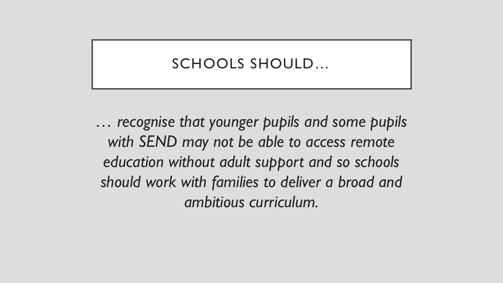#### SCHOOLS SHOULD…

*… recognise that younger pupils and some pupils with SEND may not be able to access remote education without adult support and so schools should work with families to deliver a broad and ambitious curriculum.*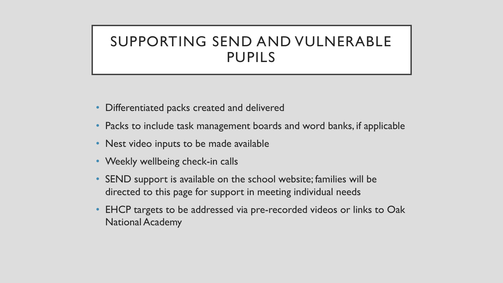#### SUPPORTING SEND AND VULNERABLE PUPILS

- Differentiated packs created and delivered
- Packs to include task management boards and word banks, if applicable
- Nest video inputs to be made available
- Weekly wellbeing check-in calls
- SEND support is available on the school website; families will be directed to this page for support in meeting individual needs
- EHCP targets to be addressed via pre-recorded videos or links to Oak National Academy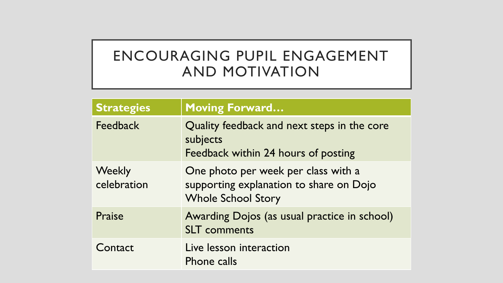### ENCOURAGING PUPIL ENGAGEMENT AND MOTIVATION

| <b>Strategies</b>            | <b>Moving Forward</b>                                                                                       |
|------------------------------|-------------------------------------------------------------------------------------------------------------|
| <b>Feedback</b>              | Quality feedback and next steps in the core<br>subjects<br>Feedback within 24 hours of posting              |
| <b>Weekly</b><br>celebration | One photo per week per class with a<br>supporting explanation to share on Dojo<br><b>Whole School Story</b> |
| Praise                       | Awarding Dojos (as usual practice in school)<br><b>SLT</b> comments                                         |
| Contact                      | Live lesson interaction<br>Phone calls                                                                      |